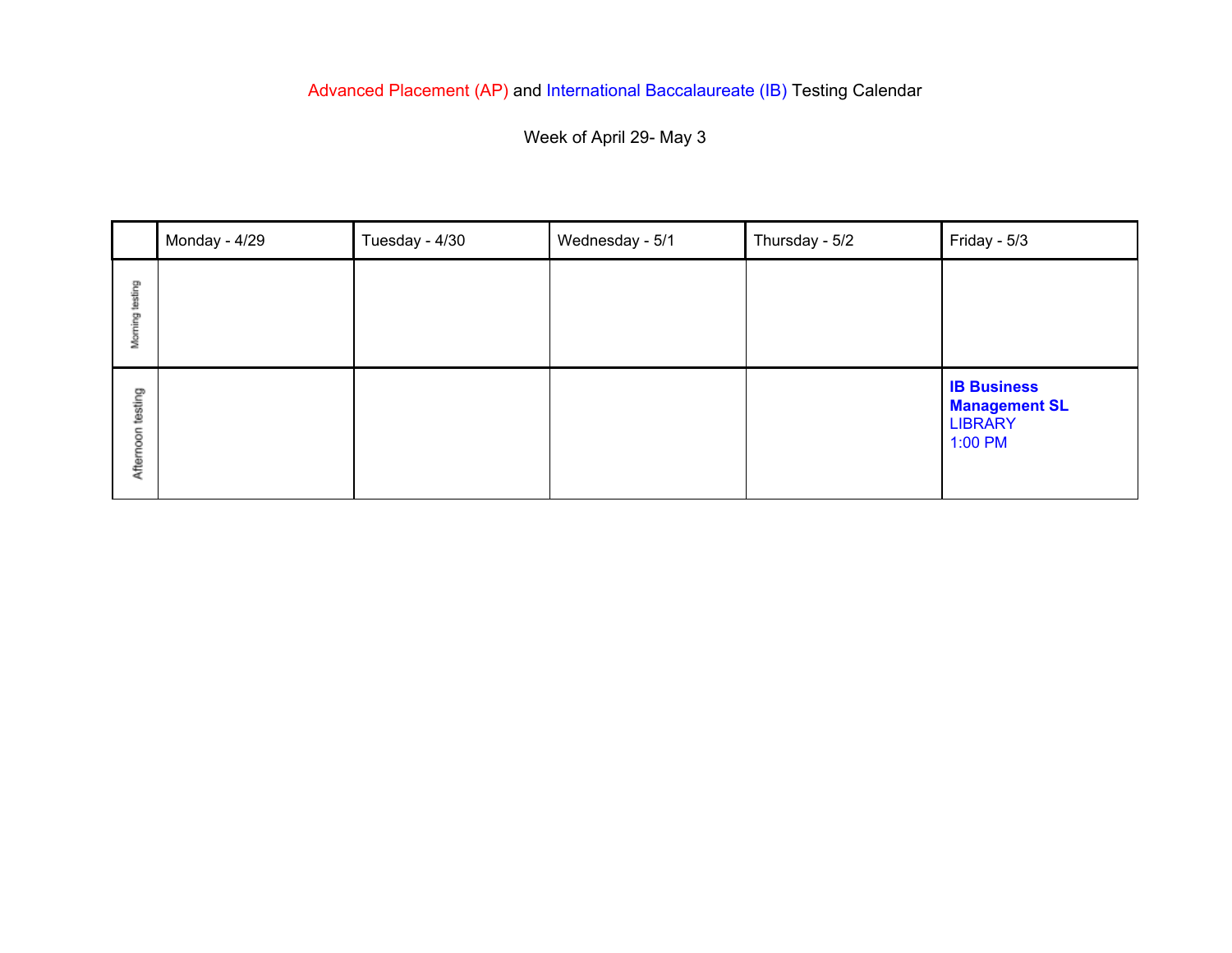## Advanced Placement (AP) and International Baccalaureate (IB) Testing Calendar

Week of April 29- May 3

|                      | Monday - 4/29 | Tuesday - 4/30 | Wednesday - 5/1 | Thursday - 5/2 | Friday - 5/3                                                            |
|----------------------|---------------|----------------|-----------------|----------------|-------------------------------------------------------------------------|
| Morning testing      |               |                |                 |                |                                                                         |
| testing<br>Afternoon |               |                |                 |                | <b>IB Business</b><br><b>Management SL</b><br><b>LIBRARY</b><br>1:00 PM |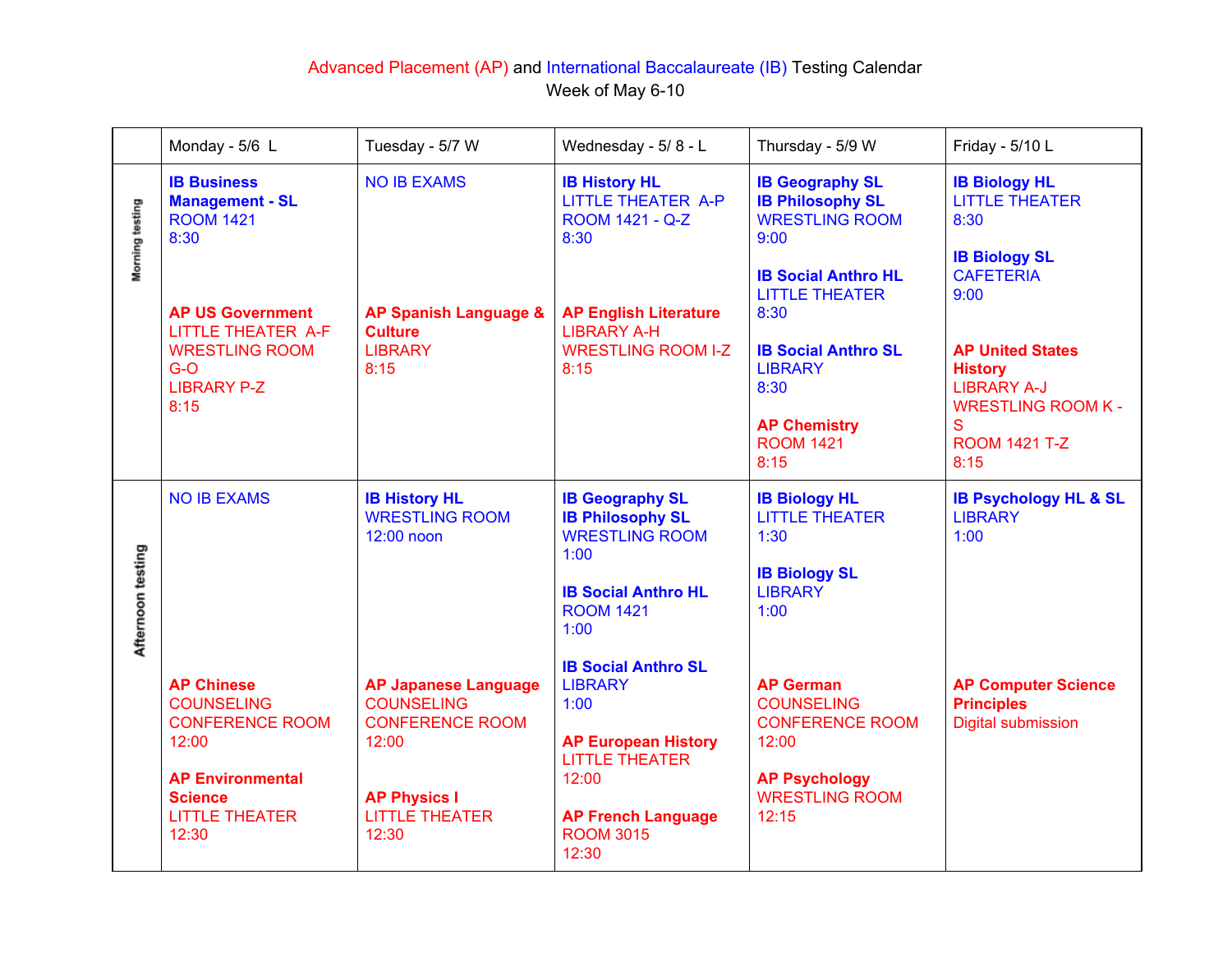## Advanced Placement (AP) and International Baccalaureate (IB) Testing Calendar Week of May 6-10

|                   | Monday - 5/6 L                                                                                                                                           | Tuesday - 5/7 W                                                                                                                              | Wednesday - 5/8 - L                                                                                                                                                            | Thursday - 5/9 W                                                                                                                          | Friday - 5/10 L                                                                                                                  |
|-------------------|----------------------------------------------------------------------------------------------------------------------------------------------------------|----------------------------------------------------------------------------------------------------------------------------------------------|--------------------------------------------------------------------------------------------------------------------------------------------------------------------------------|-------------------------------------------------------------------------------------------------------------------------------------------|----------------------------------------------------------------------------------------------------------------------------------|
| Morning testing   | <b>IB Business</b><br><b>Management - SL</b><br><b>ROOM 1421</b><br>8:30                                                                                 | <b>NO IB EXAMS</b>                                                                                                                           | <b>IB History HL</b><br><b>LITTLE THEATER A-P</b><br>ROOM 1421 - Q-Z<br>8:30                                                                                                   | <b>IB Geography SL</b><br><b>IB Philosophy SL</b><br><b>WRESTLING ROOM</b><br>9:00<br><b>IB Social Anthro HL</b><br><b>LITTLE THEATER</b> | <b>IB Biology HL</b><br><b>LITTLE THEATER</b><br>8:30<br><b>IB Biology SL</b><br><b>CAFETERIA</b><br>9:00                        |
|                   | <b>AP US Government</b><br>LITTLE THEATER A-F<br><b>WRESTLING ROOM</b><br>$G-O$<br><b>LIBRARY P-Z</b><br>8:15                                            | <b>AP Spanish Language &amp;</b><br><b>Culture</b><br><b>LIBRARY</b><br>8:15                                                                 | <b>AP English Literature</b><br><b>LIBRARY A-H</b><br><b>WRESTLING ROOM I-Z</b><br>8:15                                                                                        | 8:30<br><b>IB Social Anthro SL</b><br><b>LIBRARY</b><br>8:30<br><b>AP Chemistry</b><br><b>ROOM 1421</b><br>8:15                           | <b>AP United States</b><br><b>History</b><br><b>LIBRARY A-J</b><br><b>WRESTLING ROOM K-</b><br>S<br><b>ROOM 1421 T-Z</b><br>8:15 |
| Afternoon testing | <b>NO IB EXAMS</b>                                                                                                                                       | <b>IB History HL</b><br><b>WRESTLING ROOM</b><br>12:00 noon                                                                                  | <b>IB Geography SL</b><br><b>IB Philosophy SL</b><br><b>WRESTLING ROOM</b><br>1:00<br><b>IB Social Anthro HL</b><br><b>ROOM 1421</b><br>1:00                                   | <b>IB Biology HL</b><br><b>LITTLE THEATER</b><br>1:30<br><b>IB Biology SL</b><br><b>LIBRARY</b><br>1:00                                   | <b>IB Psychology HL &amp; SL</b><br><b>LIBRARY</b><br>1:00                                                                       |
|                   | <b>AP Chinese</b><br><b>COUNSELING</b><br><b>CONFERENCE ROOM</b><br>12:00<br><b>AP Environmental</b><br><b>Science</b><br><b>LITTLE THEATER</b><br>12:30 | <b>AP Japanese Language</b><br><b>COUNSELING</b><br><b>CONFERENCE ROOM</b><br>12:00<br><b>AP Physics I</b><br><b>LITTLE THEATER</b><br>12:30 | <b>IB Social Anthro SL</b><br><b>LIBRARY</b><br>1:00<br><b>AP European History</b><br><b>LITTLE THEATER</b><br>12:00<br><b>AP French Language</b><br><b>ROOM 3015</b><br>12:30 | <b>AP German</b><br><b>COUNSELING</b><br><b>CONFERENCE ROOM</b><br>12:00<br><b>AP Psychology</b><br><b>WRESTLING ROOM</b><br>12:15        | <b>AP Computer Science</b><br><b>Principles</b><br><b>Digital submission</b>                                                     |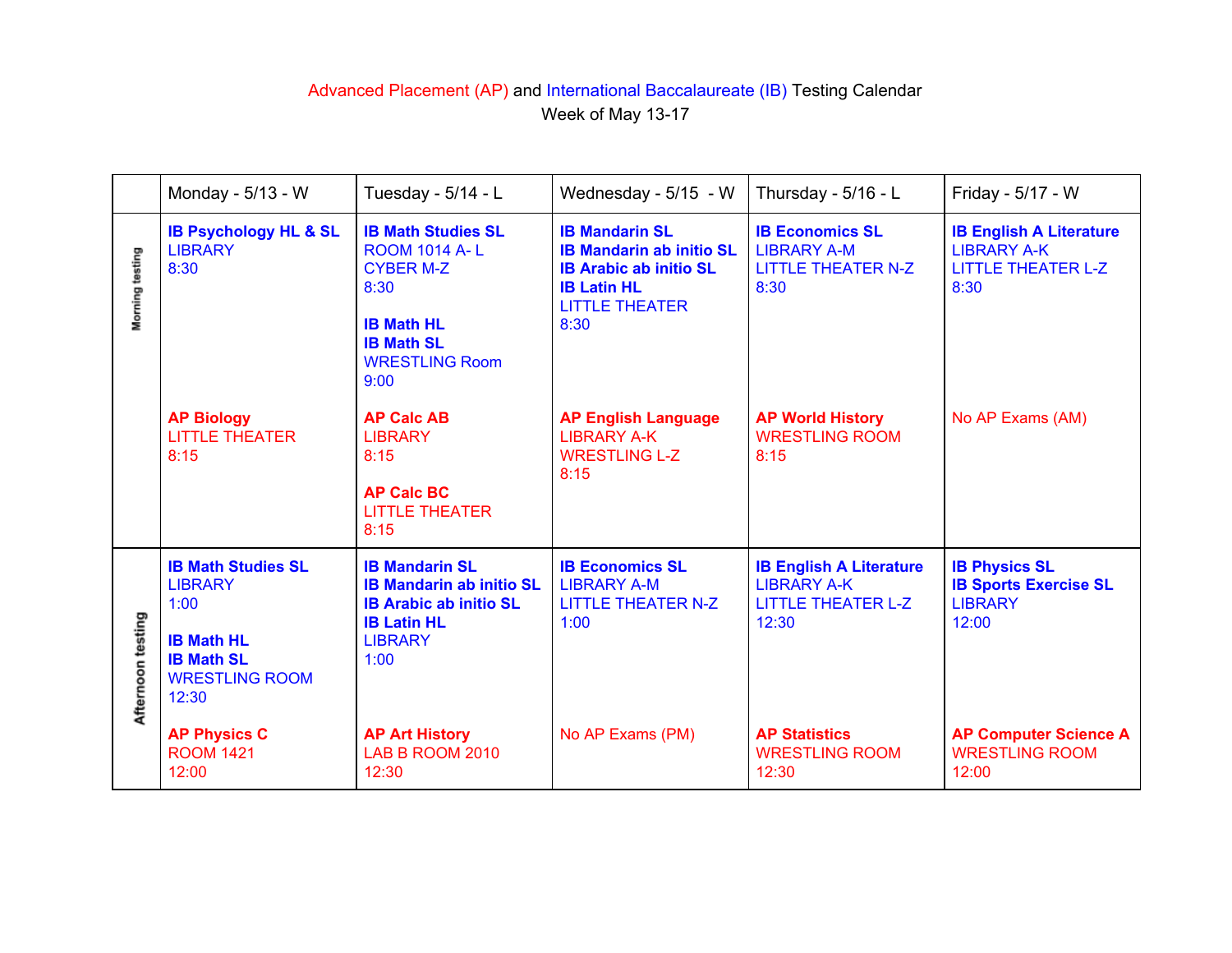## Advanced Placement (AP) and International Baccalaureate (IB) Testing Calendar Week of May 13-17

|                   | Monday - 5/13 - W                                                                                                               | Tuesday - 5/14 - L                                                                                                                                       | Wednesday - 5/15 - W                                                                                                                             | Thursday - 5/16 - L                                                                        | Friday - 5/17 - W                                                                         |
|-------------------|---------------------------------------------------------------------------------------------------------------------------------|----------------------------------------------------------------------------------------------------------------------------------------------------------|--------------------------------------------------------------------------------------------------------------------------------------------------|--------------------------------------------------------------------------------------------|-------------------------------------------------------------------------------------------|
| Morning testing   | <b>IB Psychology HL &amp; SL</b><br><b>LIBRARY</b><br>8:30                                                                      | <b>IB Math Studies SL</b><br><b>ROOM 1014 A-L</b><br><b>CYBER M-Z</b><br>8:30<br><b>IB Math HL</b><br><b>IB Math SL</b><br><b>WRESTLING Room</b><br>9:00 | <b>IB Mandarin SL</b><br><b>IB Mandarin ab initio SL</b><br><b>IB Arabic ab initio SL</b><br><b>IB Latin HL</b><br><b>LITTLE THEATER</b><br>8:30 | <b>IB Economics SL</b><br><b>LIBRARY A-M</b><br><b>LITTLE THEATER N-Z</b><br>8:30          | <b>IB English A Literature</b><br><b>LIBRARY A-K</b><br><b>LITTLE THEATER L-Z</b><br>8:30 |
|                   | <b>AP Biology</b><br><b>LITTLE THEATER</b><br>8:15                                                                              | <b>AP Calc AB</b><br><b>LIBRARY</b><br>8:15<br><b>AP Calc BC</b><br><b>LITTLE THEATER</b><br>8:15                                                        | <b>AP English Language</b><br><b>LIBRARY A-K</b><br><b>WRESTLING L-Z</b><br>8:15                                                                 | <b>AP World History</b><br><b>WRESTLING ROOM</b><br>8:15                                   | No AP Exams (AM)                                                                          |
| Afternoon testing | <b>IB Math Studies SL</b><br><b>LIBRARY</b><br>1:00<br><b>IB Math HL</b><br><b>IB Math SL</b><br><b>WRESTLING ROOM</b><br>12:30 | <b>IB Mandarin SL</b><br><b>IB Mandarin ab initio SL</b><br><b>IB Arabic ab initio SL</b><br><b>IB Latin HL</b><br><b>LIBRARY</b><br>1:00                | <b>IB Economics SL</b><br><b>LIBRARY A-M</b><br><b>LITTLE THEATER N-Z</b><br>1:00                                                                | <b>IB English A Literature</b><br><b>LIBRARY A-K</b><br><b>LITTLE THEATER L-Z</b><br>12:30 | <b>IB Physics SL</b><br><b>IB Sports Exercise SL</b><br><b>LIBRARY</b><br>12:00           |
|                   | <b>AP Physics C</b><br><b>ROOM 1421</b><br>12:00                                                                                | <b>AP Art History</b><br>LAB B ROOM 2010<br>12:30                                                                                                        | No AP Exams (PM)                                                                                                                                 | <b>AP Statistics</b><br><b>WRESTLING ROOM</b><br>12:30                                     | <b>AP Computer Science A</b><br><b>WRESTLING ROOM</b><br>12:00                            |